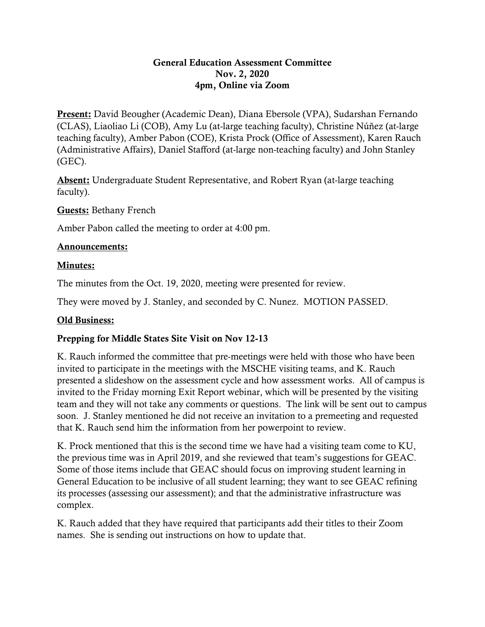#### General Education Assessment Committee Nov. 2, 2020 4pm, Online via Zoom

Present: David Beougher (Academic Dean), Diana Ebersole (VPA), Sudarshan Fernando (CLAS), Liaoliao Li (COB), Amy Lu (at-large teaching faculty), Christine Núñez (at-large teaching faculty), Amber Pabon (COE), Krista Prock (Office of Assessment), Karen Rauch (Administrative Affairs), Daniel Stafford (at-large non-teaching faculty) and John Stanley (GEC).

Absent: Undergraduate Student Representative, and Robert Ryan (at-large teaching faculty).

Guests: Bethany French

Amber Pabon called the meeting to order at 4:00 pm.

### Announcements:

### Minutes:

The minutes from the Oct. 19, 2020, meeting were presented for review.

They were moved by J. Stanley, and seconded by C. Nunez. MOTION PASSED.

### Old Business:

### Prepping for Middle States Site Visit on Nov 12-13

K. Rauch informed the committee that pre-meetings were held with those who have been invited to participate in the meetings with the MSCHE visiting teams, and K. Rauch presented a slideshow on the assessment cycle and how assessment works. All of campus is invited to the Friday morning Exit Report webinar, which will be presented by the visiting team and they will not take any comments or questions. The link will be sent out to campus soon. J. Stanley mentioned he did not receive an invitation to a premeeting and requested that K. Rauch send him the information from her powerpoint to review.

K. Prock mentioned that this is the second time we have had a visiting team come to KU, the previous time was in April 2019, and she reviewed that team's suggestions for GEAC. Some of those items include that GEAC should focus on improving student learning in General Education to be inclusive of all student learning; they want to see GEAC refining its processes (assessing our assessment); and that the administrative infrastructure was complex.

K. Rauch added that they have required that participants add their titles to their Zoom names. She is sending out instructions on how to update that.